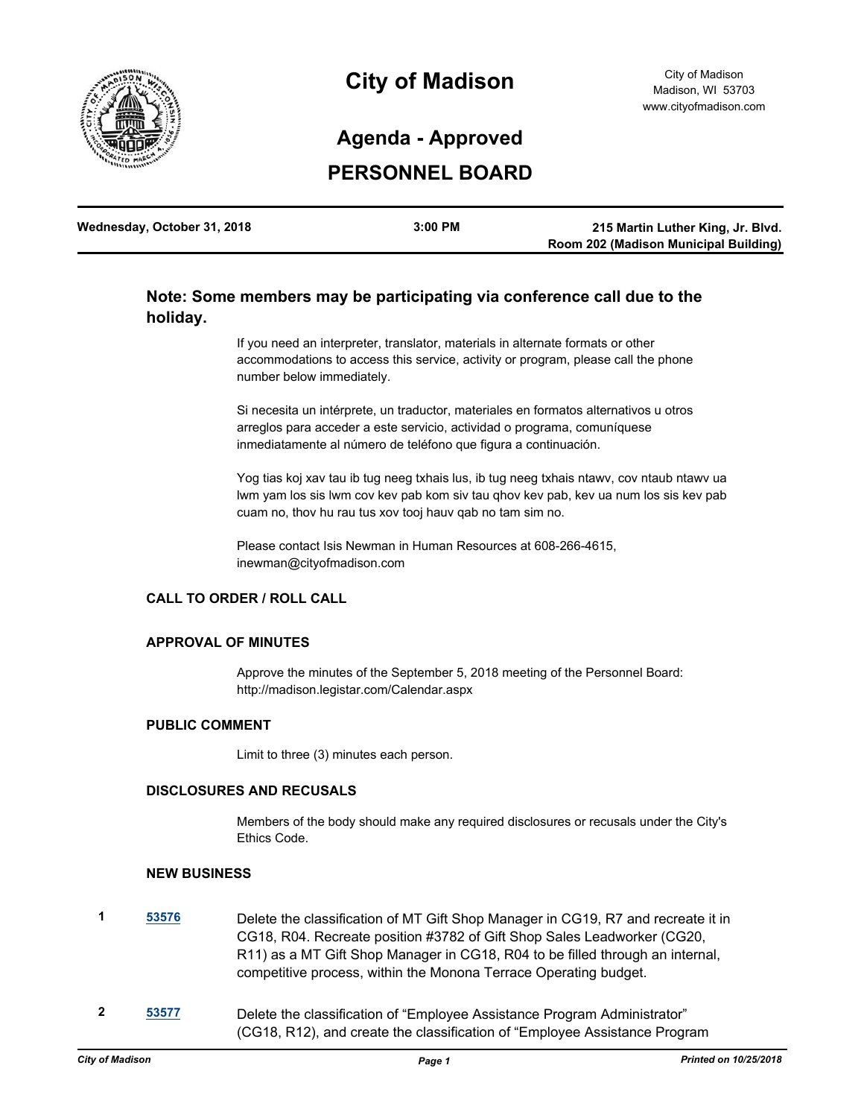

## **City of Madison**

# **Agenda - Approved**

## **PERSONNEL BOARD**

| Wednesday, October 31, 2018 | $3:00$ PM | 215 Martin Luther King, Jr. Blvd.     |
|-----------------------------|-----------|---------------------------------------|
|                             |           | Room 202 (Madison Municipal Building) |

### **Note: Some members may be participating via conference call due to the holiday.**

If you need an interpreter, translator, materials in alternate formats or other accommodations to access this service, activity or program, please call the phone number below immediately.

Si necesita un intérprete, un traductor, materiales en formatos alternativos u otros arreglos para acceder a este servicio, actividad o programa, comuníquese inmediatamente al número de teléfono que figura a continuación.

Yog tias koj xav tau ib tug neeg txhais lus, ib tug neeg txhais ntawv, cov ntaub ntawv ua lwm yam los sis lwm cov kev pab kom siv tau qhov kev pab, kev ua num los sis kev pab cuam no, thov hu rau tus xov tooj hauv qab no tam sim no.

Please contact Isis Newman in Human Resources at 608-266-4615, inewman@cityofmadison.com

#### **CALL TO ORDER / ROLL CALL**

#### **APPROVAL OF MINUTES**

Approve the minutes of the September 5, 2018 meeting of the Personnel Board: http://madison.legistar.com/Calendar.aspx

#### **PUBLIC COMMENT**

Limit to three (3) minutes each person.

#### **DISCLOSURES AND RECUSALS**

Members of the body should make any required disclosures or recusals under the City's Ethics Code.

#### **NEW BUSINESS**

- **1 [53576](http://madison.legistar.com/gateway.aspx?m=l&id=/matter.aspx?key=62147)** Delete the classification of MT Gift Shop Manager in CG19, R7 and recreate it in CG18, R04. Recreate position #3782 of Gift Shop Sales Leadworker (CG20, R11) as a MT Gift Shop Manager in CG18, R04 to be filled through an internal, competitive process, within the Monona Terrace Operating budget.
- **2 [53577](http://madison.legistar.com/gateway.aspx?m=l&id=/matter.aspx?key=62148)** Delete the classification of "Employee Assistance Program Administrator" (CG18, R12), and create the classification of "Employee Assistance Program